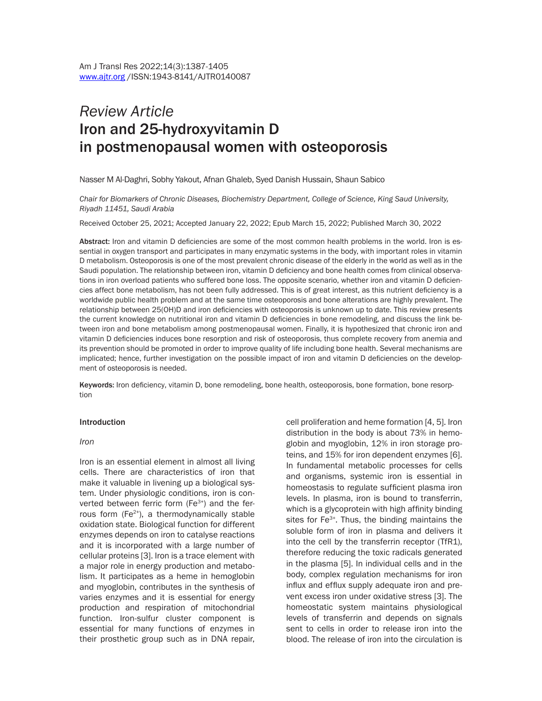# *Review Article*  Iron and 25-hydroxyvitamin D in postmenopausal women with osteoporosis

Nasser M Al-Daghri, Sobhy Yakout, Afnan Ghaleb, Syed Danish Hussain, Shaun Sabico

*Chair for Biomarkers of Chronic Diseases, Biochemistry Department, College of Science, King Saud University, Riyadh 11451, Saudi Arabia*

Received October 25, 2021; Accepted January 22, 2022; Epub March 15, 2022; Published March 30, 2022

Abstract: Iron and vitamin D deficiencies are some of the most common health problems in the world. Iron is essential in oxygen transport and participates in many enzymatic systems in the body, with important roles in vitamin D metabolism. Osteoporosis is one of the most prevalent chronic disease of the elderly in the world as well as in the Saudi population. The relationship between iron, vitamin D deficiency and bone health comes from clinical observations in iron overload patients who suffered bone loss. The opposite scenario, whether iron and vitamin D deficiencies affect bone metabolism, has not been fully addressed. This is of great interest, as this nutrient deficiency is a worldwide public health problem and at the same time osteoporosis and bone alterations are highly prevalent. The relationship between 25(OH)D and iron deficiencies with osteoporosis is unknown up to date. This review presents the current knowledge on nutritional iron and vitamin D deficiencies in bone remodeling, and discuss the link between iron and bone metabolism among postmenopausal women. Finally, it is hypothesized that chronic iron and vitamin D deficiencies induces bone resorption and risk of osteoporosis, thus complete recovery from anemia and its prevention should be promoted in order to improve quality of life including bone health. Several mechanisms are implicated; hence, further investigation on the possible impact of iron and vitamin D deficiencies on the development of osteoporosis is needed.

Keywords: Iron deficiency, vitamin D, bone remodeling, bone health, osteoporosis, bone formation, bone resorption

#### Introduction

#### *Iron*

Iron is an essential element in almost all living cells. There are characteristics of iron that make it valuable in livening up a biological system. Under physiologic conditions, iron is converted between ferric form  $(Fe<sup>3+</sup>)$  and the ferrous form  $(Fe<sup>2+</sup>)$ , a thermodynamically stable oxidation state. Biological function for different enzymes depends on iron to catalyse reactions and it is incorporated with a large number of cellular proteins [3]. Iron is a trace element with a major role in energy production and metabolism. It participates as a heme in hemoglobin and myoglobin, contributes in the synthesis of varies enzymes and it is essential for energy production and respiration of mitochondrial function. Iron-sulfur cluster component is essential for many functions of enzymes in their prosthetic group such as in DNA repair,

cell proliferation and heme formation [4, 5]. Iron distribution in the body is about 73% in hemoglobin and myoglobin, 12% in iron storage proteins, and 15% for iron dependent enzymes [6]. In fundamental metabolic processes for cells and organisms, systemic iron is essential in homeostasis to regulate sufficient plasma iron levels. In plasma, iron is bound to transferrin, which is a glycoprotein with high affinity binding sites for Fe<sup>3+</sup>. Thus, the binding maintains the soluble form of iron in plasma and delivers it into the cell by the transferrin receptor (TfR1), therefore reducing the toxic radicals generated in the plasma [5]. In individual cells and in the body, complex regulation mechanisms for iron influx and efflux supply adequate iron and prevent excess iron under oxidative stress [3]. The homeostatic system maintains physiological levels of transferrin and depends on signals sent to cells in order to release iron into the blood. The release of iron into the circulation is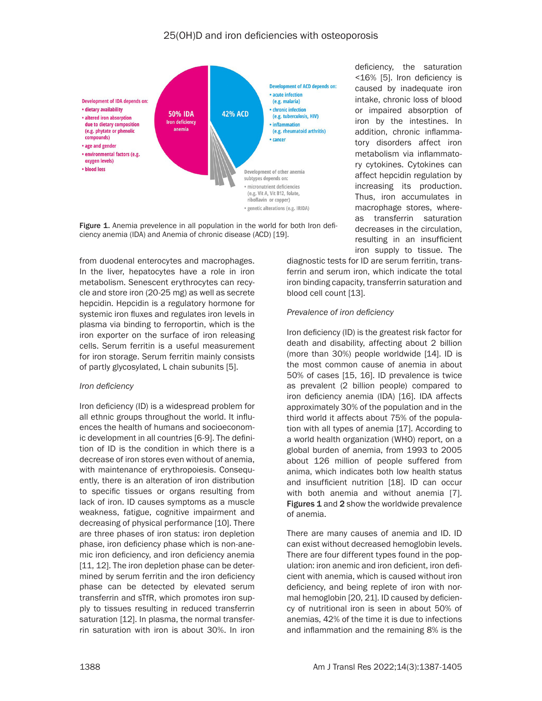

Figure 1. Anemia prevelence in all population in the world for both Iron deficiency anemia (IDA) and Anemia of chronic disease (ACD) [19].

from duodenal enterocytes and macrophages. In the liver, hepatocytes have a role in iron metabolism. Senescent erythrocytes can recycle and store iron (20-25 mg) as well as secrete hepcidin. Hepcidin is a regulatory hormone for systemic iron fluxes and regulates iron levels in plasma via binding to ferroportin, which is the iron exporter on the surface of iron releasing cells. Serum ferritin is a useful measurement for iron storage. Serum ferritin mainly consists of partly glycosylated, L chain subunits [5].

### *Iron deficiency*

Iron deficiency (ID) is a widespread problem for all ethnic groups throughout the world. It influences the health of humans and socioeconomic development in all countries [6-9]. The definition of ID is the condition in which there is a decrease of iron stores even without of anemia, with maintenance of erythropoiesis. Consequently, there is an alteration of iron distribution to specific tissues or organs resulting from lack of iron. ID causes symptoms as a muscle weakness, fatigue, cognitive impairment and decreasing of physical performance [10]. There are three phases of iron status: iron depletion phase, iron deficiency phase which is non-anemic iron deficiency, and iron deficiency anemia [11, 12]. The iron depletion phase can be determined by serum ferritin and the iron deficiency phase can be detected by elevated serum transferrin and sTfR, which promotes iron supply to tissues resulting in reduced transferrin saturation [12]. In plasma, the normal transferrin saturation with iron is about 30%. In iron

deficiency, the saturation <16% [5]. Iron deficiency is caused by inadequate iron intake, chronic loss of blood or impaired absorption of iron by the intestines. In addition, chronic inflammatory disorders affect iron metabolism via inflammatory cytokines. Cytokines can affect hepcidin regulation by increasing its production. Thus, iron accumulates in macrophage stores, whereas transferrin saturation decreases in the circulation, resulting in an insufficient iron supply to tissue. The

diagnostic tests for ID are serum ferritin, transferrin and serum iron, which indicate the total iron binding capacity, transferrin saturation and blood cell count [13].

## *Prevalence of iron deficiency*

Iron deficiency (ID) is the greatest risk factor for death and disability, affecting about 2 billion (more than 30%) people worldwide [14]. ID is the most common cause of anemia in about 50% of cases [15, 16]. ID prevalence is twice as prevalent (2 billion people) compared to iron deficiency anemia (IDA) [16]. IDA affects approximately 30% of the population and in the third world it affects about 75% of the population with all types of anemia [17]. According to a world health organization (WHO) report, on a global burden of anemia, from 1993 to 2005 about 126 million of people suffered from anima, which indicates both low health status and insufficient nutrition [18]. ID can occur with both anemia and without anemia [7]. Figures 1 and 2 show the worldwide prevalence of anemia.

There are many causes of anemia and ID. ID can exist without decreased hemoglobin levels. There are four different types found in the population: iron anemic and iron deficient, iron deficient with anemia, which is caused without iron deficiency, and being replete of iron with normal hemoglobin [20, 21]. ID caused by deficiency of nutritional iron is seen in about 50% of anemias, 42% of the time it is due to infections and inflammation and the remaining 8% is the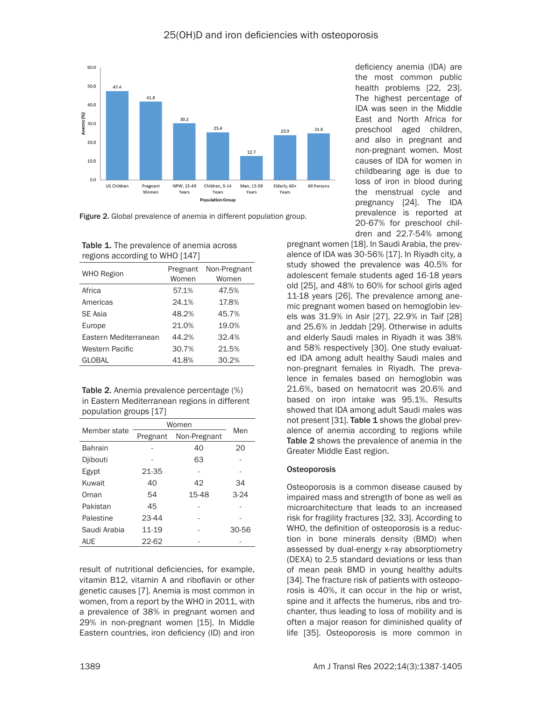



Figure 2. Global prevalence of anemia in different population group.

| <b>Table 1.</b> The prevalence of anemia across |
|-------------------------------------------------|
| regions according to WHO [147]                  |

| <b>WHO Region</b>     | Pregnant<br>Women | Non-Pregnant<br>Women |
|-----------------------|-------------------|-----------------------|
| Africa                | 57.1%             | 47.5%                 |
| Americas              | 24.1%             | 17.8%                 |
| <b>SE Asia</b>        | 48.2%             | 45.7%                 |
| Europe                | 21.0%             | 19.0%                 |
| Eastern Mediterranean | 44.2%             | 32.4%                 |
| Western Pacific       | 30.7%             | 21.5%                 |
| <b>GLOBAL</b>         | 41.8%             | 30.2%                 |
|                       |                   |                       |

Table 2. Anemia prevalence percentage (%) in Eastern Mediterranean regions in different population groups [17]

| Member state   | Women                    | Men   |        |
|----------------|--------------------------|-------|--------|
|                | Non-Pregnant<br>Pregnant |       |        |
| <b>Bahrain</b> |                          | 40    | 20     |
| Djibouti       |                          | 63    |        |
| Egypt          | 21-35                    |       |        |
| Kuwait         | 40                       | 42    | 34     |
| Oman           | 54                       | 15-48 | $3-24$ |
| Pakistan       | 45                       |       |        |
| Palestine      | $23 - 44$                |       |        |
| Saudi Arabia   | 11-19                    |       | 30-56  |
| <b>AUE</b>     | 22-62                    |       |        |

result of nutritional deficiencies, for example, vitamin B12, vitamin A and riboflavin or other genetic causes [7]. Anemia is most common in women, from a report by the WHO in 2011, with a prevalence of 38% in pregnant women and 29% in non-pregnant women [15]. In Middle Eastern countries, iron deficiency (ID) and iron

deficiency anemia (IDA) are the most common public health problems [22, 23]. The highest percentage of IDA was seen in the Middle East and North Africa for preschool aged children, and also in pregnant and non-pregnant women. Most causes of IDA for women in childbearing age is due to loss of iron in blood during the menstrual cycle and pregnancy [24]. The IDA prevalence is reported at 20-67% for preschool children and 22.7-54% among

pregnant women [18]. In Saudi Arabia, the prevalence of IDA was 30-56% [17]. In Riyadh city, a study showed the prevalence was 40.5% for adolescent female students aged 16-18 years old [25], and 48% to 60% for school girls aged 11-18 years [26]. The prevalence among anemic pregnant women based on hemoglobin levels was 31.9% in Asir [27], 22.9% in Taif [28] and 25.6% in Jeddah [29]. Otherwise in adults and elderly Saudi males in Riyadh it was 38% and 58% respectively [30]. One study evaluated IDA among adult healthy Saudi males and non-pregnant females in Riyadh. The prevalence in females based on hemoglobin was 21.6%, based on hematocrit was 20.6% and based on iron intake was 95.1%. Results showed that IDA among adult Saudi males was not present [31]. Table 1 shows the global prevalence of anemia according to regions while Table 2 shows the prevalence of anemia in the Greater Middle East region.

### **Osteoporosis**

Osteoporosis is a common disease caused by impaired mass and strength of bone as well as microarchitecture that leads to an increased risk for fragility fractures [32, 33]. According to WHO, the definition of osteoporosis is a reduction in bone minerals density (BMD) when assessed by dual-energy x-ray absorptiometry (DEXA) to 2.5 standard deviations or less than of mean peak BMD in young healthy adults [34]. The fracture risk of patients with osteoporosis is 40%, it can occur in the hip or wrist, spine and it affects the humerus, ribs and trochanter, thus leading to loss of mobility and is often a major reason for diminished quality of life [35]. Osteoporosis is more common in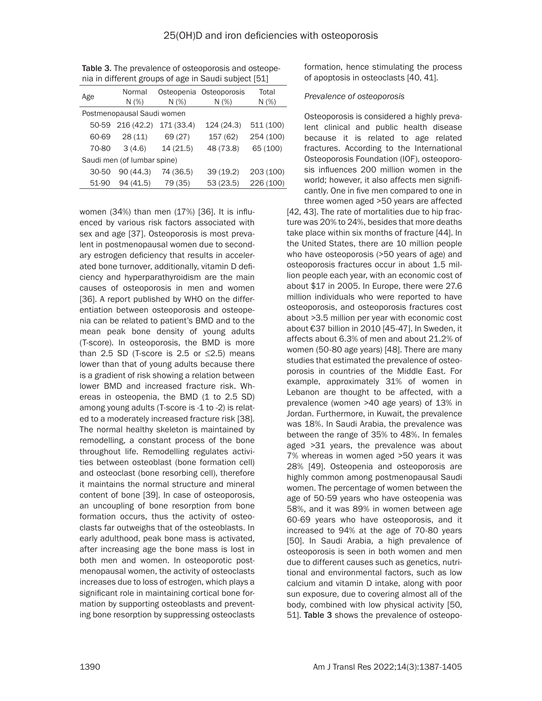| <b>Table 3.</b> The prevalence of osteoporosis and osteope- |
|-------------------------------------------------------------|
| nia in different groups of age in Saudi subject [51]        |

| Age                         | Normal<br>N(%) | N(%)       | Osteopenia Osteoporosis<br>N(%) | Total<br>N(%) |  |  |
|-----------------------------|----------------|------------|---------------------------------|---------------|--|--|
| Postmenopausal Saudi women  |                |            |                                 |               |  |  |
| 50-59                       | 216(42.2)      | 171 (33.4) | 124 (24.3)                      | 511 (100)     |  |  |
| 60-69                       | 28(11)         | 69 (27)    | 157 (62)                        | 254 (100)     |  |  |
| 70-80                       | 3(4.6)         | 14(21.5)   | 48 (73.8)                       | 65 (100)      |  |  |
| Saudi men (of lumbar spine) |                |            |                                 |               |  |  |
| 30-50                       | 90(44.3)       | 74 (36.5)  | 39(19.2)                        | 203 (100)     |  |  |
| 51-90                       | 94 (41.5)      | 79 (35)    | 53(23.5)                        | 226 (100)     |  |  |

women (34%) than men (17%) [36]. It is influenced by various risk factors associated with sex and age [37]. Osteoporosis is most prevalent in postmenopausal women due to secondary estrogen deficiency that results in accelerated bone turnover, additionally, vitamin D deficiency and hyperparathyroidism are the main causes of osteoporosis in men and women [36]. A report published by WHO on the differentiation between osteoporosis and osteopenia can be related to patient's BMD and to the mean peak bone density of young adults (T-score). In osteoporosis, the BMD is more than 2.5 SD (T-score is 2.5 or  $\leq$ 2.5) means lower than that of young adults because there is a gradient of risk showing a relation between lower BMD and increased fracture risk. Whereas in osteopenia, the BMD (1 to 2.5 SD) among young adults (T-score is -1 to -2) is related to a moderately increased fracture risk [38]. The normal healthy skeleton is maintained by remodelling, a constant process of the bone throughout life. Remodelling regulates activities between osteoblast (bone formation cell) and osteoclast (bone resorbing cell), therefore it maintains the normal structure and mineral content of bone [39]. In case of osteoporosis, an uncoupling of bone resorption from bone formation occurs, thus the activity of osteoclasts far outweighs that of the osteoblasts. In early adulthood, peak bone mass is activated, after increasing age the bone mass is lost in both men and women. In osteoporotic postmenopausal women, the activity of osteoclasts increases due to loss of estrogen, which plays a significant role in maintaining cortical bone formation by supporting osteoblasts and preventing bone resorption by suppressing osteoclasts

formation, hence stimulating the process of apoptosis in osteoclasts [40, 41].

## *Prevalence of osteoporosis*

Osteoporosis is considered a highly prevalent clinical and public health disease because it is related to age related fractures. According to the International Osteoporosis Foundation (IOF), osteoporosis influences 200 million women in the world; however, it also affects men significantly. One in five men compared to one in three women aged >50 years are affected

[42, 43]. The rate of mortalities due to hip fracture was 20% to 24%, besides that more deaths take place within six months of fracture [44]. In the United States, there are 10 million people who have osteoporosis (>50 years of age) and osteoporosis fractures occur in about 1.5 million people each year, with an economic cost of about \$17 in 2005. In Europe, there were 27.6 million individuals who were reported to have osteoporosis, and osteoporosis fractures cost about >3.5 million per year with economic cost about €37 billion in 2010 [45-47]. In Sweden, it affects about 6.3% of men and about 21.2% of women (50-80 age years) [48]. There are many studies that estimated the prevalence of osteoporosis in countries of the Middle East. For example, approximately 31% of women in Lebanon are thought to be affected, with a prevalence (women >40 age years) of 13% in Jordan. Furthermore, in Kuwait, the prevalence was 18%. In Saudi Arabia, the prevalence was between the range of 35% to 48%. In females aged >31 years, the prevalence was about 7% whereas in women aged >50 years it was 28% [49]. Osteopenia and osteoporosis are highly common among postmenopausal Saudi women. The percentage of women between the age of 50-59 years who have osteopenia was 58%, and it was 89% in women between age 60-69 years who have osteoporosis, and it increased to 94% at the age of 70-80 years [50]. In Saudi Arabia, a high prevalence of osteoporosis is seen in both women and men due to different causes such as genetics, nutritional and environmental factors, such as low calcium and vitamin D intake, along with poor sun exposure, due to covering almost all of the body, combined with low physical activity [50, 51]. Table 3 shows the prevalence of osteopo-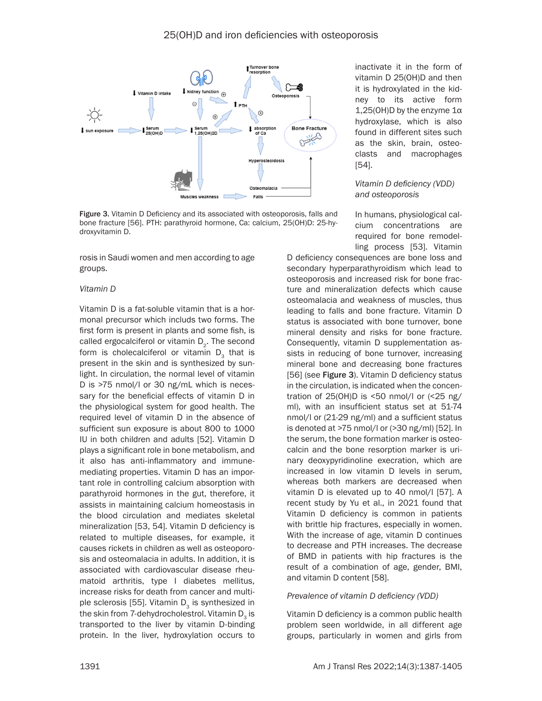

Figure 3. Vitamin D Deficiency and its associated with osteoporosis, falls and bone fracture [56]. PTH: parathyroid hormone, Ca: calcium, 25(OH)D: 25-hydroxyvitamin D.

rosis in Saudi women and men according to age groups.

#### *Vitamin D*

Vitamin D is a fat-soluble vitamin that is a hormonal precursor which includs two forms. The first form is present in plants and some fish, is called ergocalciferol or vitamin  $D_{2}$ . The second form is cholecalciferol or vitamin  $D<sub>2</sub>$  that is present in the skin and is synthesized by sunlight. In circulation, the normal level of vitamin D is >75 nmol/l or 30 ng/mL which is necessary for the beneficial effects of vitamin D in the physiological system for good health. The required level of vitamin D in the absence of sufficient sun exposure is about 800 to 1000 IU in both children and adults [52]. Vitamin D plays a significant role in bone metabolism, and it also has anti-inflammatory and immunemediating properties. Vitamin D has an important role in controlling calcium absorption with parathyroid hormones in the gut, therefore, it assists in maintaining calcium homeostasis in the blood circulation and mediates skeletal mineralization [53, 54]. Vitamin D deficiency is related to multiple diseases, for example, it causes rickets in children as well as osteoporosis and osteomalacia in adults. In addition, it is associated with cardiovascular disease rheumatoid arthritis, type I diabetes mellitus, increase risks for death from cancer and multiple sclerosis [55]. Vitamin  $D_3$  is synthesized in the skin from 7-dehydrocholestrol. Vitamin  $D<sub>3</sub>$  is transported to the liver by vitamin D-binding protein. In the liver, hydroxylation occurs to

inactivate it in the form of vitamin D 25(OH)D and then it is hydroxylated in the kidney to its active form 1,25(OH)D by the enzyme 1α hydroxylase, which is also found in different sites such as the skin, brain, osteoclasts and macrophages [54].

#### *Vitamin D deficiency (VDD) and osteoporosis*

In humans, physiological calcium concentrations are required for bone remodelling process [53]. Vitamin

D deficiency consequences are bone loss and secondary hyperparathyroidism which lead to osteoporosis and increased risk for bone fracture and mineralization defects which cause osteomalacia and weakness of muscles, thus leading to falls and bone fracture. Vitamin D status is associated with bone turnover, bone mineral density and risks for bone fracture. Consequently, vitamin D supplementation assists in reducing of bone turnover, increasing mineral bone and decreasing bone fractures [56] (see Figure 3). Vitamin D deficiency status in the circulation, is indicated when the concentration of  $25(OH)D$  is <50 nmol/l or  $(25 ng)$ ml), with an insufficient status set at 51-74 nmol/l or (21-29 ng/ml) and a sufficient status is denoted at >75 nmol/l or (>30 ng/ml) [52]. In the serum, the bone formation marker is osteocalcin and the bone resorption marker is urinary deoxypyridinoline execration, which are increased in low vitamin D levels in serum, whereas both markers are decreased when vitamin D is elevated up to 40 nmol/l [57]. A recent study by Yu et al., in 2021 found that Vitamin D deficiency is common in patients with brittle hip fractures, especially in women. With the increase of age, vitamin D continues to decrease and PTH increases. The decrease of BMD in patients with hip fractures is the result of a combination of age, gender, BMI, and vitamin D content [58].

### *Prevalence of vitamin D deficiency (VDD)*

Vitamin D deficiency is a common public health problem seen worldwide, in all different age groups, particularly in women and girls from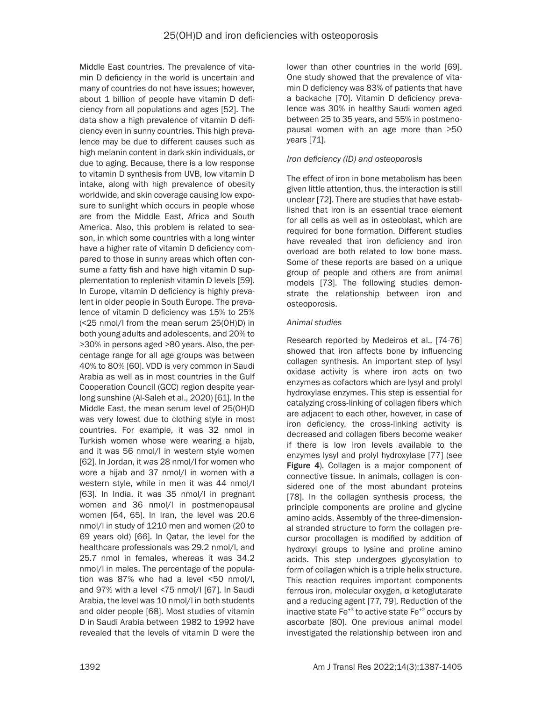Middle East countries. The prevalence of vitamin D deficiency in the world is uncertain and many of countries do not have issues; however, about 1 billion of people have vitamin D deficiency from all populations and ages [52]. The data show a high prevalence of vitamin D deficiency even in sunny countries. This high prevalence may be due to different causes such as high melanin content in dark skin individuals, or due to aging. Because, there is a low response to vitamin D synthesis from UVB, low vitamin D intake, along with high prevalence of obesity worldwide, and skin coverage causing low exposure to sunlight which occurs in people whose are from the Middle East, Africa and South America. Also, this problem is related to season, in which some countries with a long winter have a higher rate of vitamin D deficiency compared to those in sunny areas which often consume a fatty fish and have high vitamin D supplementation to replenish vitamin D levels [59]. In Europe, vitamin D deficiency is highly prevalent in older people in South Europe. The prevalence of vitamin D deficiency was 15% to 25% (<25 nmol/l from the mean serum 25(OH)D) in both young adults and adolescents, and 20% to >30% in persons aged >80 years. Also, the percentage range for all age groups was between 40% to 80% [60]. VDD is very common in Saudi Arabia as well as in most countries in the Gulf Cooperation Council (GCC) region despite yearlong sunshine (Al-Saleh et al., 2020) [61]. In the Middle East, the mean serum level of 25(OH)D was very lowest due to clothing style in most countries. For example, it was 32 nmol in Turkish women whose were wearing a hijab, and it was 56 nmol/l in western style women [62]. In Jordan, it was 28 nmol/l for women who wore a hijab and 37 nmol/l in women with a western style, while in men it was 44 nmol/l [63]. In India, it was 35 nmol/l in pregnant women and 36 nmol/l in postmenopausal women [64, 65]. In Iran, the level was 20.6 nmol/l in study of 1210 men and women (20 to 69 years old) [66]. In Qatar, the level for the healthcare professionals was 29.2 nmol/l, and 25.7 nmol in females, whereas it was 34.2 nmol/l in males. The percentage of the population was 87% who had a level <50 nmol/l, and 97% with a level <75 nmol/l [67]. In Saudi Arabia, the level was 10 nmol/l in both students and older people [68]. Most studies of vitamin D in Saudi Arabia between 1982 to 1992 have revealed that the levels of vitamin D were the

lower than other countries in the world [69]. One study showed that the prevalence of vitamin D deficiency was 83% of patients that have a backache [70]. Vitamin D deficiency prevalence was 30% in healthy Saudi women aged between 25 to 35 years, and 55% in postmenopausal women with an age more than ≥50 years [71].

## *Iron deficiency (ID) and osteoporosis*

The effect of iron in bone metabolism has been given little attention, thus, the interaction is still unclear [72]. There are studies that have established that iron is an essential trace element for all cells as well as in osteoblast, which are required for bone formation. Different studies have revealed that iron deficiency and iron overload are both related to low bone mass. Some of these reports are based on a unique group of people and others are from animal models [73]. The following studies demonstrate the relationship between iron and osteoporosis.

## *Animal studies*

Research reported by Medeiros et al., [74-76] showed that iron affects bone by influencing collagen synthesis. An important step of lysyl oxidase activity is where iron acts on two enzymes as cofactors which are lysyl and prolyl hydroxylase enzymes. This step is essential for catalyzing cross-linking of collagen fibers which are adjacent to each other, however, in case of iron deficiency, the cross-linking activity is decreased and collagen fibers become weaker if there is low iron levels available to the enzymes lysyl and prolyl hydroxylase [77] (see Figure 4). Collagen is a major component of connective tissue. In animals, collagen is considered one of the most abundant proteins [78]. In the collagen synthesis process, the principle components are proline and glycine amino acids. Assembly of the three-dimensional stranded structure to form the collagen precursor procollagen is modified by addition of hydroxyl groups to lysine and proline amino acids. This step undergoes glycosylation to form of collagen which is a triple helix structure. This reaction requires important components ferrous iron, molecular oxygen, α ketoglutarate and a reducing agent [77, 79]. Reduction of the inactive state  $Fe^{+3}$  to active state  $Fe^{+2}$  occurs by ascorbate [80]. One previous animal model investigated the relationship between iron and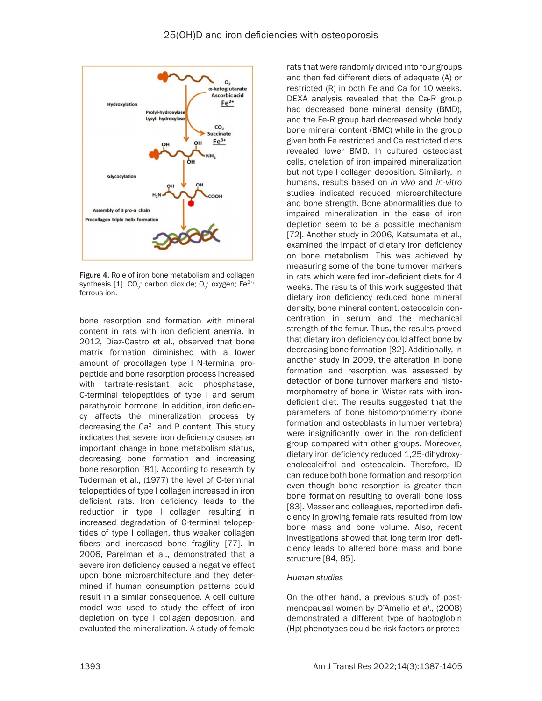

Figure 4. Role of iron bone metabolism and collagen synthesis [1]. CO<sub>2</sub>: carbon dioxide; O<sub>2</sub>: oxygen; Fe<sup>2+</sup>: ferrous ion.

bone resorption and formation with mineral content in rats with iron deficient anemia. In 2012, Diaz-Castro et al., observed that bone matrix formation diminished with a lower amount of procollagen type I N-terminal propeptide and bone resorption process increased with tartrate-resistant acid phosphatase, C-terminal telopeptides of type I and serum parathyroid hormone. In addition, iron deficiency affects the mineralization process by decreasing the  $Ca^{2+}$  and P content. This study indicates that severe iron deficiency causes an important change in bone metabolism status, decreasing bone formation and increasing bone resorption [81]. According to research by Tuderman et al., (1977) the level of C-terminal telopeptides of type I collagen increased in iron deficient rats. Iron deficiency leads to the reduction in type I collagen resulting in increased degradation of C-terminal telopeptides of type I collagen, thus weaker collagen fibers and increased bone fragility [77]. In 2006, Parelman et al., demonstrated that a severe iron deficiency caused a negative effect upon bone microarchitecture and they determined if human consumption patterns could result in a similar consequence. A cell culture model was used to study the effect of iron depletion on type I collagen deposition, and evaluated the mineralization. A study of female rats that were randomly divided into four groups and then fed different diets of adequate (A) or restricted (R) in both Fe and Ca for 10 weeks. DEXA analysis revealed that the Ca-R group had decreased bone mineral density (BMD), and the Fe-R group had decreased whole body bone mineral content (BMC) while in the group given both Fe restricted and Ca restricted diets revealed lower BMD. In cultured osteoclast cells, chelation of iron impaired mineralization but not type I collagen deposition. Similarly, in humans, results based on *in vivo* and *in-vitro* studies indicated reduced microarchitecture and bone strength. Bone abnormalities due to impaired mineralization in the case of iron depletion seem to be a possible mechanism [72]. Another study in 2006, Katsumata et al., examined the impact of dietary iron deficiency on bone metabolism. This was achieved by measuring some of the bone turnover markers in rats which were fed iron-deficient diets for 4 weeks. The results of this work suggested that dietary iron deficiency reduced bone mineral density, bone mineral content, osteocalcin concentration in serum and the mechanical strength of the femur. Thus, the results proved that dietary iron deficiency could affect bone by decreasing bone formation [82]. Additionally, in another study in 2009, the alteration in bone formation and resorption was assessed by detection of bone turnover markers and histomorphometry of bone in Wister rats with irondeficient diet. The results suggested that the parameters of bone histomorphometry (bone formation and osteoblasts in lumber vertebra) were insignificantly lower in the iron-deficient group compared with other groups. Moreover, dietary iron deficiency reduced 1,25-dihydroxycholecalcifrol and osteocalcin. Therefore, ID can reduce both bone formation and resorption even though bone resorption is greater than bone formation resulting to overall bone loss [83]. Messer and colleagues, reported iron deficiency in growing female rats resulted from low bone mass and bone volume. Also, recent investigations showed that long term iron deficiency leads to altered bone mass and bone structure [84, 85].

### *Human studies*

On the other hand, a previous study of postmenopausal women by D'Amelio *et al*., (2008) demonstrated a different type of haptoglobin (Hp) phenotypes could be risk factors or protec-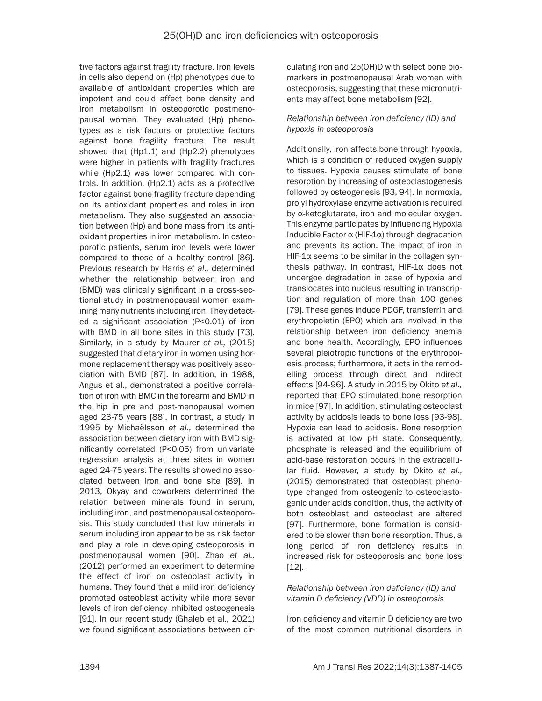tive factors against fragility fracture. Iron levels in cells also depend on (Hp) phenotypes due to available of antioxidant properties which are impotent and could affect bone density and iron metabolism in osteoporotic postmenopausal women. They evaluated (Hp) phenotypes as a risk factors or protective factors against bone fragility fracture. The result showed that (Hp1.1) and (Hp2.2) phenotypes were higher in patients with fragility fractures while (Hp2.1) was lower compared with controls. In addition, (Hp2.1) acts as a protective factor against bone fragility fracture depending on its antioxidant properties and roles in iron metabolism. They also suggested an association between (Hp) and bone mass from its antioxidant properties in iron metabolism. In osteoporotic patients, serum iron levels were lower compared to those of a healthy control [86]. Previous research by Harris *et al.,* determined whether the relationship between iron and (BMD) was clinically significant in a cross-sectional study in postmenopausal women examining many nutrients including iron. They detected a significant association (P<0.01) of iron with BMD in all bone sites in this study [73]. Similarly, in a study by Maurer *et al.,* (2015) suggested that dietary iron in women using hormone replacement therapy was positively association with BMD [87]. In addition, in 1988, Angus et al., demonstrated a positive correlation of iron with BMC in the forearm and BMD in the hip in pre and post-menopausal women aged 23-75 years [88]. In contrast, a study in 1995 by Michaëlsson *et al.,* determined the association between dietary iron with BMD significantly correlated (P<0.05) from univariate regression analysis at three sites in women aged 24-75 years. The results showed no associated between iron and bone site [89]. In 2013, Okyay and coworkers determined the relation between minerals found in serum, including iron, and postmenopausal osteoporosis. This study concluded that low minerals in serum including iron appear to be as risk factor and play a role in developing osteoporosis in postmenopausal women [90]. Zhao *et al.,* (2012) performed an experiment to determine the effect of iron on osteoblast activity in humans. They found that a mild iron deficiency promoted osteoblast activity while more sever levels of iron deficiency inhibited osteogenesis [91]. In our recent study (Ghaleb et al., 2021) we found significant associations between circulating iron and 25(OH)D with select bone biomarkers in postmenopausal Arab women with osteoporosis, suggesting that these micronutrients may affect bone metabolism [92].

## *Relationship between iron deficiency (ID) and hypoxia in osteoporosis*

Additionally, iron affects bone through hypoxia, which is a condition of reduced oxygen supply to tissues. Hypoxia causes stimulate of bone resorption by increasing of osteoclastogenesis followed by osteogenesis [93, 94]. In normoxia, prolyl hydroxylase enzyme activation is required by α-ketoglutarate, iron and molecular oxygen. This enzyme participates by influencing Hypoxia Inducible Factor α (HIF-1α) through degradation and prevents its action. The impact of iron in HIF-1 $\alpha$  seems to be similar in the collagen synthesis pathway. In contrast, HIF-1α does not undergoe degradation in case of hypoxia and translocates into nucleus resulting in transcription and regulation of more than 100 genes [79]. These genes induce PDGF, transferrin and erythropoietin (EPO) which are involved in the relationship between iron deficiency anemia and bone health. Accordingly, EPO influences several pleiotropic functions of the erythropoiesis process; furthermore, it acts in the remodelling process through direct and indirect effects [94-96]. A study in 2015 by Okito *et al.,* reported that EPO stimulated bone resorption in mice [97]. In addition, stimulating osteoclast activity by acidosis leads to bone loss [93-98]. Hypoxia can lead to acidosis. Bone resorption is activated at low pH state. Consequently, phosphate is released and the equilibrium of acid-base restoration occurs in the extracellular fluid. However, a study by Okito *et al.*, (2015) demonstrated that osteoblast phenotype changed from osteogenic to osteoclastogenic under acids condition, thus, the activity of both osteoblast and osteoclast are altered [97]. Furthermore, bone formation is considered to be slower than bone resorption. Thus, a long period of iron deficiency results in increased risk for osteoporosis and bone loss [12].

*Relationship between iron deficiency (ID) and vitamin D deficiency (VDD) in osteoporosis*

Iron deficiency and vitamin D deficiency are two of the most common nutritional disorders in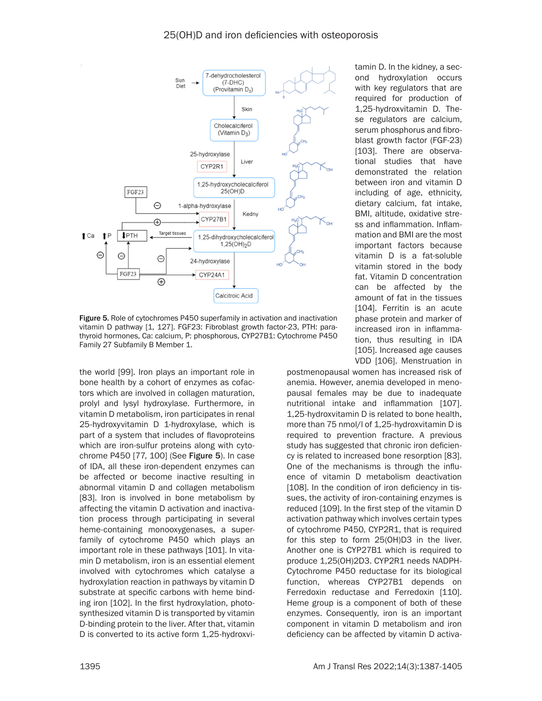

Figure 5. Role of cytochromes P450 superfamily in activation and inactivation vitamin D pathway [1, 127]. FGF23: Fibroblast growth factor-23, PTH: parathyroid hormones, Ca: calcium, P: phosphorous, CYP27B1: Cytochrome P450 Family 27 Subfamily B Member 1.

the world [99]. Iron plays an important role in bone health by a cohort of enzymes as cofactors which are involved in collagen maturation, prolyl and lysyl hydroxylase. Furthermore, in vitamin D metabolism, iron participates in renal 25-hydroxyvitamin D 1-hydroxylase, which is part of a system that includes of flavoproteins which are iron-sulfur proteins along with cytochrome P450 [77, 100] (See Figure 5). In case of IDA, all these iron-dependent enzymes can be affected or become inactive resulting in abnormal vitamin D and collagen metabolism [83]. Iron is involved in bone metabolism by affecting the vitamin D activation and inactivation process through participating in several heme-containing monooxygenases, a superfamily of cytochrome P450 which plays an important role in these pathways [101]. In vitamin D metabolism, iron is an essential element involved with cytochromes which catalyse a hydroxylation reaction in pathways by vitamin D substrate at specific carbons with heme binding iron [102]. In the first hydroxylation, photosynthesized vitamin D is transported by vitamin D-binding protein to the liver. After that, vitamin D is converted to its active form 1,25-hydroxvi-

tamin D. In the kidney, a second hydroxylation occurs with key regulators that are required for production of 1,25-hydroxvitamin D. These regulators are calcium, serum phosphorus and fibroblast growth factor (FGF-23) [103]. There are observational studies that have demonstrated the relation between iron and vitamin D including of age, ethnicity, dietary calcium, fat intake, BMI, altitude, oxidative stress and inflammation. Inflammation and BMI are the most important factors because vitamin D is a fat-soluble vitamin stored in the body fat. Vitamin D concentration can be affected by the amount of fat in the tissues [104]. Ferritin is an acute phase protein and marker of increased iron in inflammation, thus resulting in IDA [105]. Increased age causes VDD [106]. Menstruation in

postmenopausal women has increased risk of anemia. However, anemia developed in menopausal females may be due to inadequate nutritional intake and inflammation [107]. 1,25-hydroxvitamin D is related to bone health, more than 75 nmol/l of 1,25-hydroxvitamin D is required to prevention fracture. A previous study has suggested that chronic iron deficiency is related to increased bone resorption [83]. One of the mechanisms is through the influence of vitamin D metabolism deactivation [108]. In the condition of iron deficiency in tissues, the activity of iron-containing enzymes is reduced [109]. In the first step of the vitamin D activation pathway which involves certain types of cytochrome P450, CYP2R1, that is required for this step to form 25(OH)D3 in the liver. Another one is CYP27B1 which is required to produce 1,25(OH)2D3. CYP2R1 needs NADPH-Cytochrome P450 reductase for its biological function, whereas CYP27B1 depends on Ferredoxin reductase and Ferredoxin [110]. Heme group is a component of both of these enzymes. Consequently, iron is an important component in vitamin D metabolism and iron deficiency can be affected by vitamin D activa-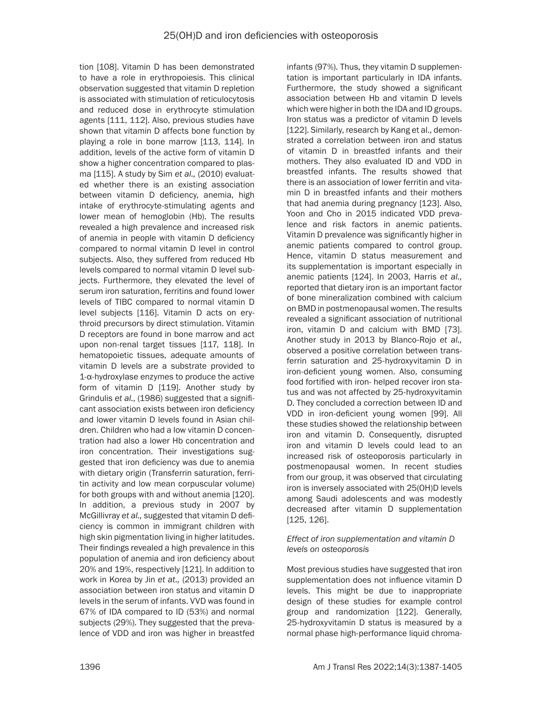tion [108]. Vitamin D has been demonstrated to have a role in erythropoiesis. This clinical observation suggested that vitamin D repletion is associated with stimulation of reticulocytosis and reduced dose in erythrocyte stimulation agents [111, 112]. Also, previous studies have shown that vitamin D affects bone function by playing a role in bone marrow [113, 114]. In addition, levels of the active form of vitamin D show a higher concentration compared to plasma [115]. A study by Sim *et al.,* (2010) evaluated whether there is an existing association between vitamin D deficiency, anemia, high intake of erythrocyte-stimulating agents and lower mean of hemoglobin (Hb). The results revealed a high prevalence and increased risk of anemia in people with vitamin D deficiency compared to normal vitamin D level in control subjects. Also, they suffered from reduced Hb levels compared to normal vitamin D level subjects. Furthermore, they elevated the level of serum iron saturation, ferritins and found lower levels of TIBC compared to normal vitamin D level subjects [116]. Vitamin D acts on erythroid precursors by direct stimulation. Vitamin D receptors are found in bone marrow and act upon non-renal target tissues [117, 118]. In hematopoietic tissues, adequate amounts of vitamin D levels are a substrate provided to 1-α-hydroxylase enzymes to produce the active form of vitamin D [119]. Another study by Grindulis *et al*., (1986) suggested that a significant association exists between iron deficiency and lower vitamin D levels found in Asian children. Children who had a low vitamin D concentration had also a lower Hb concentration and iron concentration. Their investigations suggested that iron deficiency was due to anemia with dietary origin (Transferrin saturation, ferritin activity and low mean corpuscular volume) for both groups with and without anemia [120]. In addition, a previous study in 2007 by McGillivray *et al.,* suggested that vitamin D deficiency is common in immigrant children with high skin pigmentation living in higher latitudes. Their findings revealed a high prevalence in this population of anemia and iron deficiency about 20% and 19%, respectively [121]. In addition to work in Korea by Jin *et at.,* (2013) provided an association between iron status and vitamin D levels in the serum of infants. VVD was found in 67% of IDA compared to ID (53%) and normal subjects (29%). They suggested that the prevalence of VDD and iron was higher in breastfed infants (97%). Thus, they vitamin D supplementation is important particularly in IDA infants. Furthermore, the study showed a significant association between Hb and vitamin D levels which were higher in both the IDA and ID groups. Iron status was a predictor of vitamin D levels [122]. Similarly, research by Kang et al., demonstrated a correlation between iron and status of vitamin D in breastfed infants and their mothers. They also evaluated ID and VDD in breastfed infants. The results showed that there is an association of lower ferritin and vitamin D in breastfed infants and their mothers that had anemia during pregnancy [123]. Also, Yoon and Cho in 2015 indicated VDD prevalence and risk factors in anemic patients. Vitamin D prevalence was significantly higher in anemic patients compared to control group. Hence, vitamin D status measurement and its supplementation is important especially in anemic patients [124]. In 2003, Harris *et al.,* reported that dietary iron is an important factor of bone mineralization combined with calcium on BMD in postmenopausal women. The results revealed a significant association of nutritional iron, vitamin D and calcium with BMD [73]. Another study in 2013 by Blanco-Rojo *et al.,*  observed a positive correlation between transferrin saturation and 25-hydroxyvitamin D in iron-deficient young women. Also, consuming food fortified with iron- helped recover iron status and was not affected by 25-hydroxyvitamin D. They concluded a correction between ID and VDD in iron-deficient young women [99]. All these studies showed the relationship between iron and vitamin D. Consequently, disrupted iron and vitamin D levels could lead to an increased risk of osteoporosis particularly in postmenopausal women. In recent studies from our group, it was observed that circulating iron is inversely associated with 25(OH)D levels among Saudi adolescents and was modestly decreased after vitamin D supplementation [125, 126].

### *Effect of iron supplementation and vitamin D levels on osteoporosis*

Most previous studies have suggested that iron supplementation does not influence vitamin D levels. This might be due to inappropriate design of these studies for example control group and randomization [122]. Generally, 25-hydroxyvitamin D status is measured by a normal phase high-performance liquid chroma-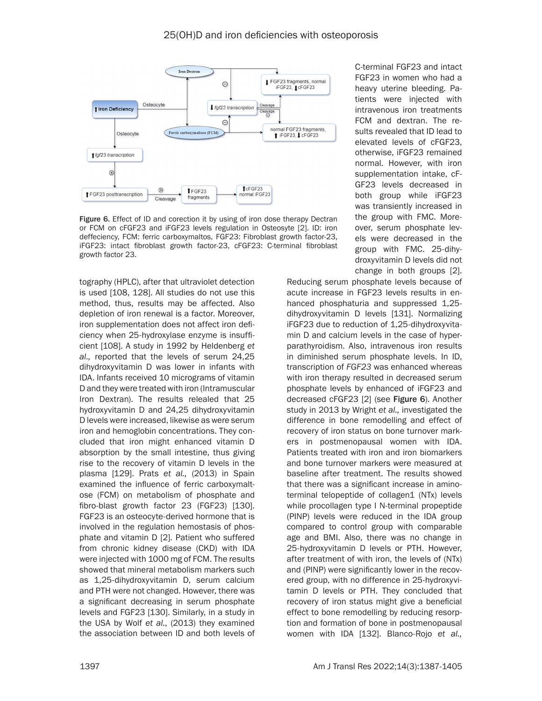

Figure 6. Effect of ID and corection it by using of iron dose therapy Dectran or FCM on cFGF23 and iFGF23 levels regulation in Osteosyte [2]. ID: iron deffeciency, FCM: ferric carboxymaltos, FGF23: Fibroblast growth factor-23, iFGF23: intact fibroblast growth factor-23, cFGF23: C-terminal fibroblast growth factor 23.

tography (HPLC), after that ultraviolet detection is used [108, 128]. All studies do not use this method, thus, results may be affected. Also depletion of iron renewal is a factor. Moreover, iron supplementation does not affect iron deficiency when 25-hydroxylase enzyme is insufficient [108]. A study in 1992 by Heldenberg *et al.,* reported that the levels of serum 24,25 dihydroxyvitamin D was lower in infants with IDA. Infants received 10 micrograms of vitamin D and they were treated with iron (Intramuscular Iron Dextran). The results relealed that 25 hydroxyvitamin D and 24,25 dihydroxyvitamin D levels were increased, likewise as were serum iron and hemoglobin concentrations. They concluded that iron might enhanced vitamin D absorption by the small intestine, thus giving rise to the recovery of vitamin D levels in the plasma [129]. Prats *et al.,* (2013) in Spain examined the influence of ferric carboxymaltose (FCM) on metabolism of phosphate and fibro-blast growth factor 23 (FGF23) [130]. FGF23 is an osteocyte-derived hormone that is involved in the regulation hemostasis of phosphate and vitamin D [2]. Patient who suffered from chronic kidney disease (CKD) with IDA were injected with 1000 mg of FCM. The results showed that mineral metabolism markers such as 1,25-dihydroxyvitamin D, serum calcium and PTH were not changed. However, there was a significant decreasing in serum phosphate levels and FGF23 [130]. Similarly, in a study in the USA by Wolf *et al.*, (2013) they examined the association between ID and both levels of

C-terminal FGF23 and intact FGF23 in women who had a heavy uterine bleeding. Patients were injected with intravenous iron treatments FCM and dextran. The results revealed that ID lead to elevated levels of cFGF23, otherwise, iFGF23 remained normal. However, with iron supplementation intake, cF-GF23 levels decreased in both group while iFGF23 was transiently increased in the group with FMC. Moreover, serum phosphate levels were decreased in the group with FMC. 25-dihydroxyvitamin D levels did not change in both groups [2].

Reducing serum phosphate levels because of acute increase in FGF23 levels results in enhanced phosphaturia and suppressed 1,25 dihydroxyvitamin D levels [131]. Normalizing iFGF23 due to reduction of 1,25-dihydroxyvitamin D and calcium levels in the case of hyperparathyroidism. Also, intravenous iron results in diminished serum phosphate levels. In ID, transcription of *FGF23* was enhanced whereas with iron therapy resulted in decreased serum phosphate levels by enhanced of iFGF23 and decreased cFGF23 [2] (see Figure 6). Another study in 2013 by Wright *et al.,* investigated the difference in bone remodelling and effect of recovery of iron status on bone turnover markers in postmenopausal women with IDA. Patients treated with iron and iron biomarkers and bone turnover markers were measured at baseline after treatment. The results showed that there was a significant increase in aminoterminal telopeptide of collagen1 (NTx) levels while procollagen type I N-terminal propeptide (PINP) levels were reduced in the IDA group compared to control group with comparable age and BMI. Also, there was no change in 25-hydroxyvitamin D levels or PTH. However, after treatment of with iron, the levels of (NTx) and (PINP) were significantly lower in the recovered group, with no difference in 25-hydroxyvitamin D levels or PTH. They concluded that recovery of iron status might give a beneficial effect to bone remodelling by reducing resorption and formation of bone in postmenopausal women with IDA [132]. Blanco-Rojo *et al.,*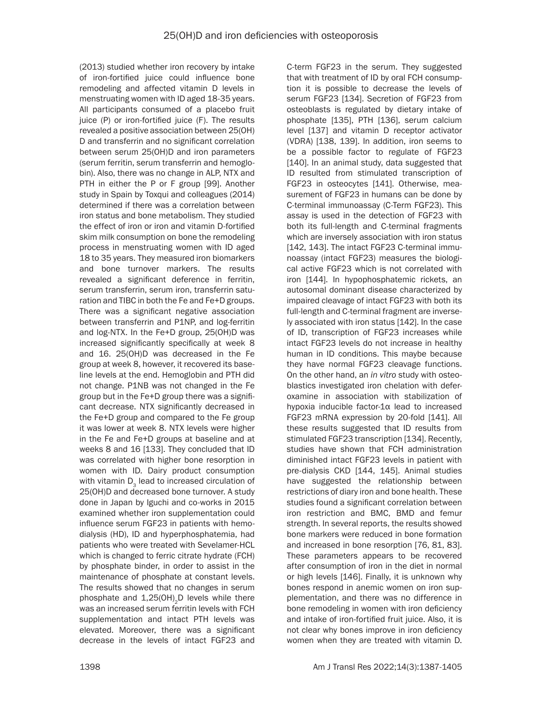(2013) studied whether iron recovery by intake of iron-fortified juice could influence bone remodeling and affected vitamin D levels in menstruating women with ID aged 18-35 years. All participants consumed of a placebo fruit juice (P) or iron-fortified juice (F). The results revealed a positive association between 25(OH) D and transferrin and no significant correlation between serum 25(OH)D and iron parameters (serum ferritin, serum transferrin and hemoglobin). Also, there was no change in ALP, NTX and PTH in either the P or F group [99]. Another study in Spain by Toxqui and colleagues (2014) determined if there was a correlation between iron status and bone metabolism. They studied the effect of iron or iron and vitamin D-fortified skim milk consumption on bone the remodeling process in menstruating women with ID aged 18 to 35 years. They measured iron biomarkers and bone turnover markers. The results revealed a significant deference in ferritin, serum transferrin, serum iron, transferrin saturation and TIBC in both the Fe and Fe+D groups. There was a significant negative association between transferrin and P1NP, and log-ferritin and log-NTX. In the Fe+D group, 25(OH)D was increased significantly specifically at week 8 and 16. 25(OH)D was decreased in the Fe group at week 8, however, it recovered its baseline levels at the end. Hemoglobin and PTH did not change. P1NB was not changed in the Fe group but in the Fe+D group there was a significant decrease. NTX significantly decreased in the Fe+D group and compared to the Fe group it was lower at week 8. NTX levels were higher in the Fe and Fe+D groups at baseline and at weeks 8 and 16 [133]. They concluded that ID was correlated with higher bone resorption in women with ID. Dairy product consumption with vitamin  $D<sub>3</sub>$  lead to increased circulation of 25(OH)D and decreased bone turnover. A study done in Japan by Iguchi and co-works in 2015 examined whether iron supplementation could influence serum FGF23 in patients with hemodialysis (HD), ID and hyperphosphatemia, had patients who were treated with Sevelamer-HCL which is changed to ferric citrate hydrate (FCH) by phosphate binder, in order to assist in the maintenance of phosphate at constant levels. The results showed that no changes in serum phosphate and  $1,25(OH)$ <sub>2</sub>D levels while there was an increased serum ferritin levels with FCH supplementation and intact PTH levels was elevated. Moreover, there was a significant decrease in the levels of intact FGF23 and

C-term FGF23 in the serum. They suggested that with treatment of ID by oral FCH consumption it is possible to decrease the levels of serum FGF23 [134]. Secretion of FGF23 from osteoblasts is regulated by dietary intake of phosphate [135], PTH [136], serum calcium level [137] and vitamin D receptor activator (VDRA) [138, 139]. In addition, iron seems to be a possible factor to regulate of FGF23 [140]. In an animal study, data suggested that ID resulted from stimulated transcription of FGF23 in osteocytes [141]. Otherwise, measurement of FGF23 in humans can be done by C-terminal immunoassay (C-Term FGF23). This assay is used in the detection of FGF23 with both its full-length and C-terminal fragments which are inversely association with iron status [142, 143]. The intact FGF23 C-terminal immunoassay (intact FGF23) measures the biological active FGF23 which is not correlated with iron [144]. In hypophosphatemic rickets, an autosomal dominant disease characterized by impaired cleavage of intact FGF23 with both its full-length and C-terminal fragment are inversely associated with iron status [142]. In the case of ID, transcription of FGF23 increases while intact FGF23 levels do not increase in healthy human in ID conditions. This maybe because they have normal FGF23 cleavage functions. On the other hand, an *in vitro* study with osteoblastics investigated iron chelation with deferoxamine in association with stabilization of hypoxia inducible factor-1α lead to increased FGF23 mRNA expression by 20-fold [141]. All these results suggested that ID results from stimulated FGF23 transcription [134]. Recently, studies have shown that FCH administration diminished intact FGF23 levels in patient with pre-dialysis CKD [144, 145]. Animal studies have suggested the relationship between restrictions of diary iron and bone health. These studies found a significant correlation between iron restriction and BMC, BMD and femur strength. In several reports, the results showed bone markers were reduced in bone formation and increased in bone resorption [76, 81, 83]. These parameters appears to be recovered after consumption of iron in the diet in normal or high levels [146]. Finally, it is unknown why bones respond in anemic women on iron supplementation, and there was no difference in bone remodeling in women with iron deficiency and intake of iron-fortified fruit juice. Also, it is not clear why bones improve in iron deficiency women when they are treated with vitamin D.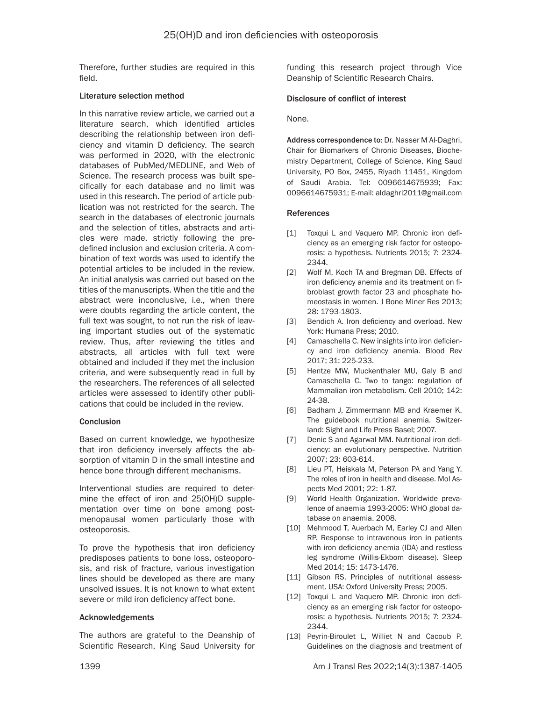Therefore, further studies are required in this field.

#### Literature selection method

In this narrative review article, we carried out a literature search, which identified articles describing the relationship between iron deficiency and vitamin D deficiency. The search was performed in 2020, with the electronic databases of PubMed/MEDLINE, and Web of Science. The research process was built specifically for each database and no limit was used in this research. The period of article publication was not restricted for the search. The search in the databases of electronic journals and the selection of titles, abstracts and articles were made, strictly following the predefined inclusion and exclusion criteria. A combination of text words was used to identify the potential articles to be included in the review. An initial analysis was carried out based on the titles of the manuscripts. When the title and the abstract were inconclusive, i.e., when there were doubts regarding the article content, the full text was sought, to not run the risk of leaving important studies out of the systematic review. Thus, after reviewing the titles and abstracts, all articles with full text were obtained and included if they met the inclusion criteria, and were subsequently read in full by the researchers. The references of all selected articles were assessed to identify other publications that could be included in the review.

### Conclusion

Based on current knowledge, we hypothesize that iron deficiency inversely affects the absorption of vitamin D in the small intestine and hence bone through different mechanisms.

Interventional studies are required to determine the effect of iron and 25(OH)D supplementation over time on bone among postmenopausal women particularly those with osteoporosis.

To prove the hypothesis that iron deficiency predisposes patients to bone loss, osteoporosis, and risk of fracture, various investigation lines should be developed as there are many unsolved issues. It is not known to what extent severe or mild iron deficiency affect bone.

### Acknowledgements

The authors are grateful to the Deanship of Scientific Research, King Saud University for funding this research project through Vice Deanship of Scientific Research Chairs.

#### Disclosure of conflict of interest

None.

Address correspondence to: Dr. Nasser M Al-Daghri, Chair for Biomarkers of Chronic Diseases, Biochemistry Department, College of Science, King Saud University, PO Box, 2455, Riyadh 11451, Kingdom of Saudi Arabia. Tel: 0096614675939; Fax: 0096614675931; E-mail: aldaghri2011@gmail.com

#### References

- [1] Toxqui L and Vaquero MP. Chronic iron deficiency as an emerging risk factor for osteoporosis: a hypothesis. Nutrients 2015; 7: 2324- 2344.
- [2] Wolf M, Koch TA and Bregman DB. Effects of iron deficiency anemia and its treatment on fibroblast growth factor 23 and phosphate homeostasis in women. J Bone Miner Res 2013; 28: 1793-1803.
- [3] Bendich A. Iron deficiency and overload. New York: Humana Press; 2010.
- [4] Camaschella C. New insights into iron deficiency and iron deficiency anemia. Blood Rev 2017; 31: 225-233.
- [5] Hentze MW, Muckenthaler MU, Galy B and Camaschella C. Two to tango: regulation of Mammalian iron metabolism. Cell 2010; 142: 24-38.
- [6] Badham J, Zimmermann MB and Kraemer K. The guidebook nutritional anemia. Switzerland: Sight and Life Press Basel; 2007.
- [7] Denic S and Agarwal MM. Nutritional iron deficiency: an evolutionary perspective. Nutrition 2007; 23: 603-614.
- [8] Lieu PT, Heiskala M, Peterson PA and Yang Y. The roles of iron in health and disease. Mol Aspects Med 2001; 22: 1-87.
- [9] World Health Organization. Worldwide prevalence of anaemia 1993-2005: WHO global database on anaemia. 2008.
- [10] Mehmood T, Auerbach M, Earley CJ and Allen RP. Response to intravenous iron in patients with iron deficiency anemia (IDA) and restless leg syndrome (Willis-Ekbom disease). Sleep Med 2014; 15: 1473-1476.
- [11] Gibson RS. Principles of nutritional assessment. USA: Oxford University Press; 2005.
- [12] Toxqui L and Vaquero MP. Chronic iron deficiency as an emerging risk factor for osteoporosis: a hypothesis. Nutrients 2015; 7: 2324- 2344.
- [13] Peyrin-Biroulet L, Williet N and Cacoub P. Guidelines on the diagnosis and treatment of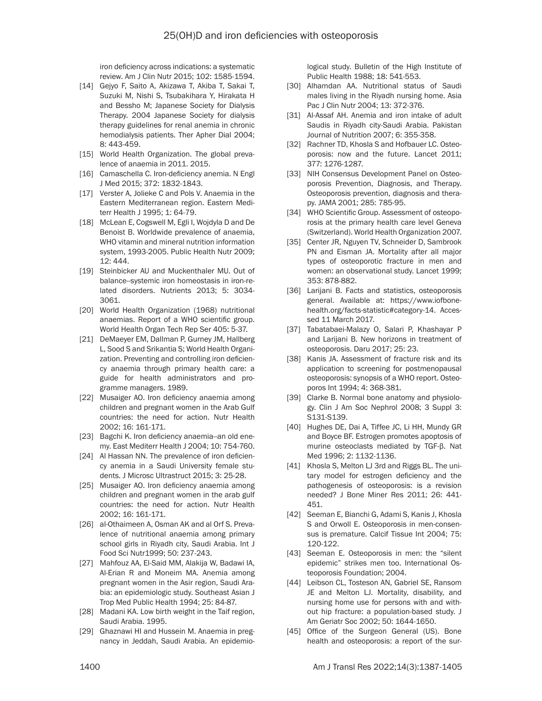iron deficiency across indications: a systematic review. Am J Clin Nutr 2015; 102: 1585-1594.

- [14] Gejyo F, Saito A, Akizawa T, Akiba T, Sakai T, Suzuki M, Nishi S, Tsubakihara Y, Hirakata H and Bessho M; Japanese Society for Dialysis Therapy. 2004 Japanese Society for dialysis therapy guidelines for renal anemia in chronic hemodialysis patients. Ther Apher Dial 2004; 8: 443-459.
- [15] World Health Organization. The global prevalence of anaemia in 2011. 2015.
- [16] Camaschella C. Iron-deficiency anemia. N Engl J Med 2015; 372: 1832-1843.
- [17] Verster A, Jolieke C and Pols V. Anaemia in the Eastern Mediterranean region. Eastern Mediterr Health J 1995; 1: 64-79.
- [18] McLean E, Cogswell M, Egli I, Wojdyla D and De Benoist B. Worldwide prevalence of anaemia, WHO vitamin and mineral nutrition information system, 1993-2005. Public Health Nutr 2009; 12: 444.
- [19] Steinbicker AU and Muckenthaler MU. Out of balance--systemic iron homeostasis in iron-related disorders. Nutrients 2013; 5: 3034- 3061.
- [20] World Health Organization (1968) nutritional anaemias. Report of a WHO scientific group. World Health Organ Tech Rep Ser 405: 5-37.
- [21] DeMaeyer EM, Dallman P, Gurney JM, Hallberg L, Sood S and Srikantia S; World Health Organization. Preventing and controlling iron deficiency anaemia through primary health care: a guide for health administrators and programme managers. 1989.
- [22] Musaiger AO. Iron deficiency anaemia among children and pregnant women in the Arab Gulf countries: the need for action. Nutr Health 2002; 16: 161-171.
- [23] Bagchi K. Iron deficiency anaemia--an old enemy. East Mediterr Health J 2004; 10: 754-760.
- [24] Al Hassan NN. The prevalence of iron deficiency anemia in a Saudi University female students. J Microsc Ultrastruct 2015; 3: 25-28.
- [25] Musaiger AO. Iron deficiency anaemia among children and pregnant women in the arab gulf countries: the need for action. Nutr Health 2002; 16: 161-171.
- [26] al-Othaimeen A, Osman AK and al Orf S. Prevalence of nutritional anaemia among primary school girls in Riyadh city, Saudi Arabia. Int J Food Sci Nutr1999; 50: 237-243.
- [27] Mahfouz AA, El-Said MM, Alakija W, Badawi IA, Al-Erian R and Moneim MA. Anemia among pregnant women in the Asir region, Saudi Arabia: an epidemiologic study. Southeast Asian J Trop Med Public Health 1994; 25: 84-87.
- [28] Madani KA. Low birth weight in the Taif region, Saudi Arabia. 1995.
- [29] Ghaznawi HI and Hussein M. Anaemia in pregnancy in Jeddah, Saudi Arabia. An epidemio-

logical study. Bulletin of the High Institute of Public Health 1988; 18: 541-553.

- [30] Alhamdan AA. Nutritional status of Saudi males living in the Riyadh nursing home. Asia Pac J Clin Nutr 2004; 13: 372-376.
- [31] Al-Assaf AH. Anemia and iron intake of adult Saudis in Riyadh city-Saudi Arabia. Pakistan Journal of Nutrition 2007; 6: 355-358.
- [32] Rachner TD, Khosla S and Hofbauer LC. Osteoporosis: now and the future. Lancet 2011; 377: 1276-1287.
- [33] NIH Consensus Development Panel on Osteoporosis Prevention, Diagnosis, and Therapy. Osteoporosis prevention, diagnosis and therapy. JAMA 2001; 285: 785-95.
- [34] WHO Scientific Group. Assessment of osteoporosis at the primary health care level Geneva (Switzerland). World Health Organization 2007.
- [35] Center JR, Nguyen TV, Schneider D, Sambrook PN and Eisman JA. Mortality after all major types of osteoporotic fracture in men and women: an observational study. Lancet 1999; 353: 878-882.
- [36] Larijani B. Facts and statistics, osteoporosis general. Available at: https://www.iofbonehealth.org/facts-statistic#category-14. Accessed 11 March 2017.
- [37] Tabatabaei-Malazy O, Salari P, Khashayar P and Larijani B. New horizons in treatment of osteoporosis. Daru 2017; 25: 23.
- [38] Kanis JA. Assessment of fracture risk and its application to screening for postmenopausal osteoporosis: synopsis of a WHO report. Osteoporos Int 1994; 4: 368-381.
- [39] Clarke B. Normal bone anatomy and physiology. Clin J Am Soc Nephrol 2008; 3 Suppl 3: S131-S139.
- [40] Hughes DE, Dai A, Tiffee JC, Li HH, Mundy GR and Boyce BF. Estrogen promotes apoptosis of murine osteoclasts mediated by TGF-β. Nat Med 1996; 2: 1132-1136.
- [41] Khosla S, Melton LJ 3rd and Riggs BL. The unitary model for estrogen deficiency and the pathogenesis of osteoporosis: is a revision needed? J Bone Miner Res 2011; 26: 441- 451.
- [42] Seeman E, Bianchi G, Adami S, Kanis J, Khosla S and Orwoll E. Osteoporosis in men-consensus is premature. Calcif Tissue Int 2004; 75: 120-122.
- [43] Seeman E. Osteoporosis in men: the "silent" epidemic" strikes men too. International Osteoporosis Foundation; 2004.
- [44] Leibson CL, Tosteson AN, Gabriel SE, Ransom JE and Melton LJ. Mortality, disability, and nursing home use for persons with and without hip fracture: a population-based study. J Am Geriatr Soc 2002; 50: 1644-1650.
- [45] Office of the Surgeon General (US). Bone health and osteoporosis: a report of the sur-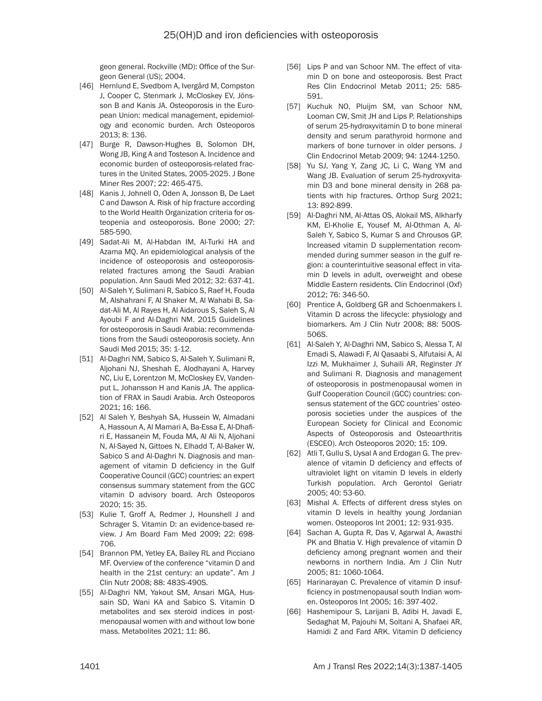geon general. Rockville (MD): Office of the Surgeon General (US); 2004.

- [46] Hernlund E, Svedbom A, Ivergård M, Compston J, Cooper C, Stenmark J, McCloskey EV, Jönsson B and Kanis JA. Osteoporosis in the European Union: medical management, epidemiology and economic burden. Arch Osteoporos 2013; 8: 136.
- [47] Burge R, Dawson-Hughes B, Solomon DH, Wong JB, King A and Tosteson A. Incidence and economic burden of osteoporosis-related fractures in the United States, 2005-2025. J Bone Miner Res 2007; 22: 465-475.
- [48] Kanis J, Johnell O, Oden A, Jonsson B, De Laet C and Dawson A. Risk of hip fracture according to the World Health Organization criteria for osteopenia and osteoporosis. Bone 2000; 27: 585-590.
- [49] Sadat-Ali M, Al-Habdan IM, Al-Turki HA and Azama MQ. An epidemiological analysis of the incidence of osteoporosis and osteoporosisrelated fractures among the Saudi Arabian population. Ann Saudi Med 2012; 32: 637-41.
- [50] Al-Saleh Y, Sulimani R, Sabico S, Raef H, Fouda M, Alshahrani F, Al Shaker M, Al Wahabi B, Sadat-Ali M, Al Rayes H, Al Aidarous S, Saleh S, Al Ayoubi F and Al-Daghri NM. 2015 Guidelines for osteoporosis in Saudi Arabia: recommendations from the Saudi osteoporosis society. Ann Saudi Med 2015; 35: 1-12.
- [51] Al-Daghri NM, Sabico S, Al-Saleh Y, Sulimani R, Aljohani NJ, Sheshah E, Alodhayani A, Harvey NC, Liu E, Lorentzon M, McCloskey EV, Vandenput L, Johansson H and Kanis JA. The application of FRAX in Saudi Arabia. Arch Osteoporos 2021; 16: 166.
- [52] Al Saleh Y, Beshyah SA, Hussein W, Almadani A, Hassoun A, Al Mamari A, Ba-Essa E, Al-Dhafiri E, Hassanein M, Fouda MA, Al Ali N, Aljohani N, Al-Sayed N, Gittoes N, Elhadd T, Al-Baker W, Sabico S and Al-Daghri N. Diagnosis and management of vitamin D deficiency in the Gulf Cooperative Council (GCC) countries: an expert consensus summary statement from the GCC vitamin D advisory board. Arch Osteoporos 2020; 15: 35.
- [53] Kulie T, Groff A, Redmer J, Hounshell J and Schrager S. Vitamin D: an evidence-based review. J Am Board Fam Med 2009; 22: 698- 706.
- [54] Brannon PM, Yetley EA, Bailey RL and Picciano MF. Overview of the conference "vitamin D and health in the 21st century: an update". Am J Clin Nutr 2008; 88: 483S-490S.
- [55] Al-Daghri NM, Yakout SM, Ansari MGA, Hussain SD, Wani KA and Sabico S. Vitamin D metabolites and sex steroid indices in postmenopausal women with and without low bone mass. Metabolites 2021; 11: 86.
- [56] Lips P and van Schoor NM. The effect of vitamin D on bone and osteoporosis. Best Pract Res Clin Endocrinol Metab 2011; 25: 585- 591.
- [57] Kuchuk NO, Pluijm SM, van Schoor NM, Looman CW, Smit JH and Lips P. Relationships of serum 25-hydroxyvitamin D to bone mineral density and serum parathyroid hormone and markers of bone turnover in older persons. J Clin Endocrinol Metab 2009; 94: 1244-1250.
- [58] Yu SJ, Yang Y, Zang JC, Li C, Wang YM and Wang JB. Evaluation of serum 25-hydroxyvitamin D3 and bone mineral density in 268 patients with hip fractures. Orthop Surg 2021; 13: 892-899.
- [59] Al-Daghri NM, Al-Attas OS, Alokail MS, Alkharfy KM, El-Kholie E, Yousef M, Al-Othman A, Al-Saleh Y, Sabico S, Kumar S and Chrousos GP. Increased vitamin D supplementation recommended during summer season in the gulf region: a counterintuitive seasonal effect in vitamin D levels in adult, overweight and obese Middle Eastern residents. Clin Endocrinol (Oxf) 2012; 76: 346-50.
- [60] Prentice A, Goldberg GR and Schoenmakers I. Vitamin D across the lifecycle: physiology and biomarkers. Am J Clin Nutr 2008; 88: 500S-506S.
- [61] Al-Saleh Y, Al-Daghri NM, Sabico S, Alessa T, Al Emadi S, Alawadi F, Al Qasaabi S, Alfutaisi A, Al Izzi M, Mukhaimer J, Suhaili AR, Reginster JY and Sulimani R. Diagnosis and management of osteoporosis in postmenopausal women in Gulf Cooperation Council (GCC) countries: consensus statement of the GCC countries' osteoporosis societies under the auspices of the European Society for Clinical and Economic Aspects of Osteoporosis and Osteoarthritis (ESCEO). Arch Osteoporos 2020; 15: 109.
- [62] Atli T, Gullu S, Uysal A and Erdogan G. The prevalence of vitamin D deficiency and effects of ultraviolet light on vitamin D levels in elderly Turkish population. Arch Gerontol Geriatr 2005; 40: 53-60.
- [63] Mishal A. Effects of different dress styles on vitamin D levels in healthy young Jordanian women. Osteoporos Int 2001; 12: 931-935.
- [64] Sachan A, Gupta R, Das V, Agarwal A, Awasthi PK and Bhatia V. High prevalence of vitamin D deficiency among pregnant women and their newborns in northern India. Am J Clin Nutr 2005; 81: 1060-1064.
- [65] Harinarayan C. Prevalence of vitamin D insufficiency in postmenopausal south Indian women. Osteoporos Int 2005; 16: 397-402.
- [66] Hashemipour S, Larijani B, Adibi H, Javadi E, Sedaghat M, Pajouhi M, Soltani A, Shafaei AR, Hamidi Z and Fard ARK. Vitamin D deficiency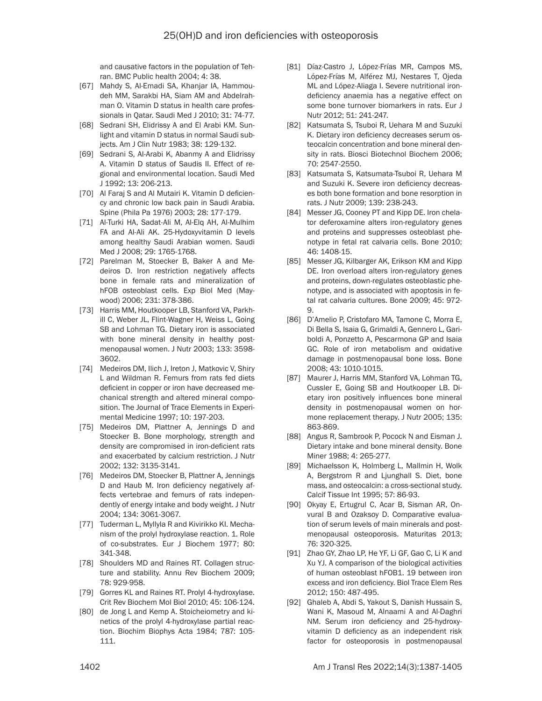and causative factors in the population of Tehran. BMC Public health 2004; 4: 38.

- [67] Mahdy S, Al-Emadi SA, Khanjar IA, Hammoudeh MM, Sarakbi HA, Siam AM and Abdelrahman O. Vitamin D status in health care professionals in Qatar. Saudi Med J 2010; 31: 74-77.
- [68] Sedrani SH, Elidrissy A and El Arabi KM. Sunlight and vitamin D status in normal Saudi subjects. Am J Clin Nutr 1983; 38: 129-132.
- [69] Sedrani S, Al-Arabi K, Abanmy A and Elidrissy A. Vitamin D status of Saudis II. Effect of regional and environmental location. Saudi Med J 1992; 13: 206-213.
- [70] Al Faraj S and Al Mutairi K. Vitamin D deficiency and chronic low back pain in Saudi Arabia. Spine (Phila Pa 1976) 2003; 28: 177-179.
- [71] Al-Turki HA, Sadat-Ali M, Al-Elq AH, Al-Mulhim FA and Al-Ali AK. 25-Hydoxyvitamin D levels among healthy Saudi Arabian women. Saudi Med J 2008; 29: 1765-1768.
- [72] Parelman M, Stoecker B, Baker A and Medeiros D. Iron restriction negatively affects bone in female rats and mineralization of hFOB osteoblast cells. Exp Biol Med (Maywood) 2006; 231: 378-386.
- [73] Harris MM, Houtkooper LB, Stanford VA, Parkhill C, Weber JL, Flint-Wagner H, Weiss L, Going SB and Lohman TG. Dietary iron is associated with bone mineral density in healthy postmenopausal women. J Nutr 2003; 133: 3598- 3602.
- [74] Medeiros DM, Ilich J, Ireton J, Matkovic V, Shiry L and Wildman R. Femurs from rats fed diets deficient in copper or iron have decreased mechanical strength and altered mineral composition. The Journal of Trace Elements in Experimental Medicine 1997; 10: 197-203.
- [75] Medeiros DM, Plattner A, Jennings D and Stoecker B. Bone morphology, strength and density are compromised in iron-deficient rats and exacerbated by calcium restriction. J Nutr 2002; 132: 3135-3141.
- [76] Medeiros DM, Stoecker B, Plattner A, Jennings D and Haub M. Iron deficiency negatively affects vertebrae and femurs of rats independently of energy intake and body weight. J Nutr 2004; 134: 3061-3067.
- [77] Tuderman L, Myllyla R and Kivirikko KI. Mechanism of the prolyl hydroxylase reaction. 1. Role of co-substrates. Eur J Biochem 1977; 80: 341-348.
- [78] Shoulders MD and Raines RT. Collagen structure and stability. Annu Rev Biochem 2009; 78: 929-958.
- [79] Gorres KL and Raines RT. Prolyl 4-hydroxylase. Crit Rev Biochem Mol Biol 2010; 45: 106-124.
- [80] de Jong L and Kemp A. Stoicheiometry and kinetics of the prolyl 4-hydroxylase partial reaction. Biochim Biophys Acta 1984; 787: 105- 111.
- [81] Díaz-Castro J, López-Frías MR, Campos MS, López-Frías M, Alférez MJ, Nestares T, Ojeda ML and López-Aliaga I. Severe nutritional irondeficiency anaemia has a negative effect on some bone turnover biomarkers in rats. Eur J Nutr 2012; 51: 241-247.
- [82] Katsumata S, Tsuboi R, Uehara M and Suzuki K. Dietary iron deficiency decreases serum osteocalcin concentration and bone mineral density in rats. Biosci Biotechnol Biochem 2006; 70: 2547-2550.
- [83] Katsumata S, Katsumata-Tsuboi R, Uehara M and Suzuki K. Severe iron deficiency decreases both bone formation and bone resorption in rats. J Nutr 2009; 139: 238-243.
- [84] Messer JG, Cooney PT and Kipp DE. Iron chelator deferoxamine alters iron-regulatory genes and proteins and suppresses osteoblast phenotype in fetal rat calvaria cells. Bone 2010; 46: 1408-15.
- [85] Messer JG, Kilbarger AK, Erikson KM and Kipp DE. Iron overload alters iron-regulatory genes and proteins, down-regulates osteoblastic phenotype, and is associated with apoptosis in fetal rat calvaria cultures. Bone 2009; 45: 972- 9.
- [86] D'Amelio P, Cristofaro MA, Tamone C, Morra E, Di Bella S, Isaia G, Grimaldi A, Gennero L, Gariboldi A, Ponzetto A, Pescarmona GP and Isaia GC. Role of iron metabolism and oxidative damage in postmenopausal bone loss. Bone 2008; 43: 1010-1015.
- [87] Maurer J, Harris MM, Stanford VA, Lohman TG, Cussler E, Going SB and Houtkooper LB. Dietary iron positively influences bone mineral density in postmenopausal women on hormone replacement therapy. J Nutr 2005; 135: 863-869.
- [88] Angus R, Sambrook P, Pocock N and Eisman J. Dietary intake and bone mineral density. Bone Miner 1988; 4: 265-277.
- [89] Michaelsson K, Holmberg L, Mallmin H, Wolk A, Bergstrom R and Ljunghall S. Diet, bone mass, and osteocalcin: a cross-sectional study. Calcif Tissue Int 1995; 57: 86-93.
- [90] Okyay E, Ertugrul C, Acar B, Sisman AR, Onvural B and Ozaksoy D. Comparative evaluation of serum levels of main minerals and postmenopausal osteoporosis. Maturitas 2013; 76: 320-325.
- [91] Zhao GY, Zhao LP, He YF, Li GF, Gao C, Li K and Xu YJ. A comparison of the biological activities of human osteoblast hFOB1. 19 between iron excess and iron deficiency. Biol Trace Elem Res 2012; 150: 487-495.
- [92] Ghaleb A, Abdi S, Yakout S, Danish Hussain S, Wani K, Masoud M, Alnaami A and Al-Daghri NM. Serum iron deficiency and 25-hydroxyvitamin D deficiency as an independent risk factor for osteoporosis in postmenopausal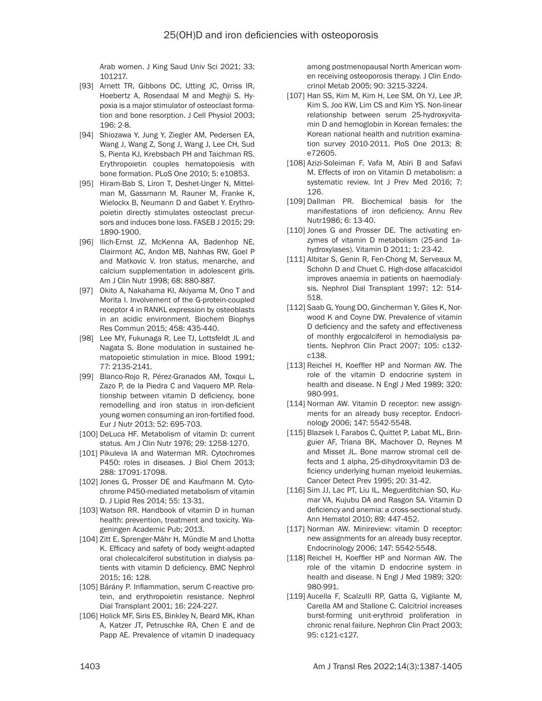Arab women. J King Saud Univ Sci 2021; 33: 101217.

- [93] Arnett TR, Gibbons DC, Utting JC, Orriss IR, Hoebertz A, Rosendaal M and Meghji S. Hypoxia is a major stimulator of osteoclast formation and bone resorption. J Cell Physiol 2003; 196: 2-8.
- [94] Shiozawa Y, Jung Y, Ziegler AM, Pedersen EA, Wang J, Wang Z, Song J, Wang J, Lee CH, Sud S, Pienta KJ, Krebsbach PH and Taichman RS. Erythropoietin couples hematopoiesis with bone formation. PLoS One 2010; 5: e10853.
- [95] Hiram-Bab S, Liron T, Deshet-Unger N, Mittelman M, Gassmann M, Rauner M, Franke K, Wielockx B, Neumann D and Gabet Y. Erythropoietin directly stimulates osteoclast precursors and induces bone loss. FASEB J 2015; 29: 1890-1900.
- [96] Ilich-Ernst JZ, McKenna AA, Badenhop NE, Clairmont AC, Andon MB, Nahhas RW, Goel P and Matkovic V. Iron status, menarche, and calcium supplementation in adolescent girls. Am J Clin Nutr 1998; 68: 880-887.
- [97] Okito A, Nakahama KI, Akiyama M, Ono T and Morita I. Involvement of the G-protein-coupled receptor 4 in RANKL expression by osteoblasts in an acidic environment. Biochem Biophys Res Commun 2015; 458: 435-440.
- [98] Lee MY, Fukunaga R, Lee TJ, Lottsfeldt JL and Nagata S. Bone modulation in sustained hematopoietic stimulation in mice. Blood 1991; 77: 2135-2141.
- [99] Blanco-Rojo R, Pérez-Granados AM, Toxqui L, Zazo P, de la Piedra C and Vaquero MP. Relationship between vitamin D deficiency, bone remodelling and iron status in iron-deficient young women consuming an iron-fortified food. Eur J Nutr 2013; 52: 695-703.
- [100] DeLuca HF. Metabolism of vitamin D: current status. Am J Clin Nutr 1976; 29: 1258-1270.
- [101] Pikuleva IA and Waterman MR. Cytochromes P450: roles in diseases. J Biol Chem 2013; 288: 17091-17098.
- [102] Jones G, Prosser DE and Kaufmann M. Cytochrome P450-mediated metabolism of vitamin D. J Lipid Res 2014; 55: 13-31.
- [103] Watson RR. Handbook of vitamin D in human health: prevention, treatment and toxicity. Wageningen Academic Pub; 2013.
- [104] Zitt E, Sprenger-Mähr H, Mündle M and Lhotta K. Efficacy and safety of body weight-adapted oral cholecalciferol substitution in dialysis patients with vitamin D deficiency. BMC Nephrol 2015; 16: 128.
- [105] Bárány P. Inflammation, serum C-reactive protein, and erythropoietin resistance. Nephrol Dial Transplant 2001; 16: 224-227.
- [106] Holick MF, Siris ES, Binkley N, Beard MK, Khan A, Katzer JT, Petruschke RA, Chen E and de Papp AE. Prevalence of vitamin D inadequacy

among postmenopausal North American women receiving osteoporosis therapy. J Clin Endocrinol Metab 2005; 90: 3215-3224.

- [107] Han SS, Kim M, Kim H, Lee SM, Oh YJ, Lee JP, Kim S, Joo KW, Lim CS and Kim YS. Non-linear relationship between serum 25-hydroxyvitamin D and hemoglobin in Korean females: the Korean national health and nutrition examination survey 2010-2011. PloS One 2013; 8: e72605.
- [108] Azizi-Soleiman F, Vafa M, Abiri B and Safavi M. Effects of iron on Vitamin D metabolism: a systematic review. Int J Prev Med 2016; 7: 126.
- [109] Dallman PR. Biochemical basis for the manifestations of iron deficiency. Annu Rev Nutr1986; 6: 13-40.
- [110] Jones G and Prosser DE. The activating enzymes of vitamin D metabolism (25-and 1ahydroxylases). Vitamin D 2011; 1: 23-42.
- [111] Albitar S, Genin R, Fen-Chong M, Serveaux M, Schohn D and Chuet C. High-dose alfacalcidol improves anaemia in patients on haemodialysis. Nephrol Dial Transplant 1997; 12: 514- 518.
- [112] Saab G, Young DO, Gincherman Y, Giles K, Norwood K and Coyne DW. Prevalence of vitamin D deficiency and the safety and effectiveness of monthly ergocalciferol in hemodialysis patients. Nephron Clin Pract 2007; 105: c132 c138.
- [113] Reichel H, Koeffler HP and Norman AW. The role of the vitamin D endocrine system in health and disease. N Engl J Med 1989; 320: 980-991.
- [114] Norman AW. Vitamin D receptor: new assignments for an already busy receptor. Endocrinology 2006; 147: 5542-5548.
- [115] Blazsek I, Farabos C, Quittet P, Labat ML, Bringuier AF, Triana BK, Machover D, Reynes M and Misset JL. Bone marrow stromal cell defects and 1 alpha, 25-dihydroxyvitamin D3 deficiency underlying human myeloid leukemias. Cancer Detect Prev 1995; 20: 31-42.
- [116] Sim JJ, Lac PT, Liu IL, Meguerditchian SO, Kumar VA, Kujubu DA and Rasgon SA. Vitamin D deficiency and anemia: a cross-sectional study. Ann Hematol 2010; 89: 447-452.
- [117] Norman AW. Minireview: vitamin D receptor: new assignments for an already busy receptor. Endocrinology 2006; 147: 5542-5548.
- [118] Reichel H, Koeffler HP and Norman AW. The role of the vitamin D endocrine system in health and disease. N Engl J Med 1989; 320: 980-991.
- [119] Aucella F, Scalzulli RP, Gatta G, Vigilante M, Carella AM and Stallone C. Calcitriol increases burst-forming unit-erythroid proliferation in chronic renal failure. Nephron Clin Pract 2003; 95: c121-c127.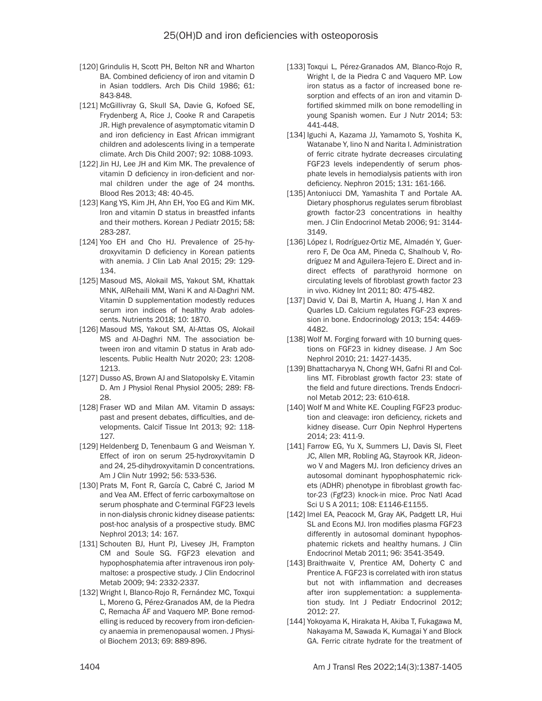- [120] Grindulis H, Scott PH, Belton NR and Wharton BA. Combined deficiency of iron and vitamin D in Asian toddlers. Arch Dis Child 1986; 61: 843-848.
- [121] McGillivray G, Skull SA, Davie G, Kofoed SE, Frydenberg A, Rice J, Cooke R and Carapetis JR. High prevalence of asymptomatic vitamin D and iron deficiency in East African immigrant children and adolescents living in a temperate climate. Arch Dis Child 2007; 92: 1088-1093.
- [122] Jin HJ, Lee JH and Kim MK. The prevalence of vitamin D deficiency in iron-deficient and normal children under the age of 24 months. Blood Res 2013; 48: 40-45.
- [123] Kang YS, Kim JH, Ahn EH, Yoo EG and Kim MK. Iron and vitamin D status in breastfed infants and their mothers. Korean J Pediatr 2015; 58: 283-287.
- [124] Yoo EH and Cho HJ. Prevalence of 25-hydroxyvitamin D deficiency in Korean patients with anemia. J Clin Lab Anal 2015; 29: 129- 134.
- [125] Masoud MS, Alokail MS, Yakout SM, Khattak MNK, AlRehaili MM, Wani K and Al-Daghri NM. Vitamin D supplementation modestly reduces serum iron indices of healthy Arab adolescents. Nutrients 2018; 10: 1870.
- [126] Masoud MS, Yakout SM, Al-Attas OS, Alokail MS and Al-Daghri NM. The association between iron and vitamin D status in Arab adolescents. Public Health Nutr 2020; 23: 1208- 1213.
- [127] Dusso AS, Brown AJ and Slatopolsky E. Vitamin D. Am J Physiol Renal Physiol 2005; 289: F8- 28.
- [128] Fraser WD and Milan AM. Vitamin D assays: past and present debates, difficulties, and developments. Calcif Tissue Int 2013; 92: 118- 127.
- [129] Heldenberg D, Tenenbaum G and Weisman Y. Effect of iron on serum 25-hydroxyvitamin D and 24, 25-dihydroxyvitamin D concentrations. Am J Clin Nutr 1992; 56: 533-536.
- [130] Prats M, Font R, García C, Cabré C, Jariod M and Vea AM. Effect of ferric carboxymaltose on serum phosphate and C-terminal FGF23 levels in non-dialysis chronic kidney disease patients: post-hoc analysis of a prospective study. BMC Nephrol 2013; 14: 167.
- [131] Schouten BJ, Hunt PJ, Livesey JH, Frampton CM and Soule SG. FGF23 elevation and hypophosphatemia after intravenous iron polymaltose: a prospective study. J Clin Endocrinol Metab 2009; 94: 2332-2337.
- [132] Wright I, Blanco-Rojo R, Fernández MC, Toxqui L, Moreno G, Pérez-Granados AM, de la Piedra C, Remacha ÁF and Vaquero MP. Bone remodelling is reduced by recovery from iron-deficiency anaemia in premenopausal women. J Physiol Biochem 2013; 69: 889-896.
- [133] Toxqui L, Pérez-Granados AM, Blanco-Rojo R, Wright I, de la Piedra C and Vaquero MP. Low iron status as a factor of increased bone resorption and effects of an iron and vitamin Dfortified skimmed milk on bone remodelling in young Spanish women. Eur J Nutr 2014; 53: 441-448.
- [134] Iguchi A, Kazama JJ, Yamamoto S, Yoshita K, Watanabe Y, Iino N and Narita I. Administration of ferric citrate hydrate decreases circulating FGF23 levels independently of serum phosphate levels in hemodialysis patients with iron deficiency. Nephron 2015; 131: 161-166.
- [135] Antoniucci DM, Yamashita T and Portale AA. Dietary phosphorus regulates serum fibroblast growth factor-23 concentrations in healthy men. J Clin Endocrinol Metab 2006; 91: 3144- 3149.
- [136] López I, Rodríguez-Ortiz ME, Almadén Y, Guerrero F, De Oca AM, Pineda C, Shalhoub V, Rodríguez M and Aguilera-Tejero E. Direct and indirect effects of parathyroid hormone on circulating levels of fibroblast growth factor 23 in vivo. Kidney Int 2011; 80: 475-482.
- [137] David V, Dai B, Martin A, Huang J, Han X and Quarles LD. Calcium regulates FGF-23 expression in bone. Endocrinology 2013; 154: 4469- 4482.
- [138] Wolf M. Forging forward with 10 burning questions on FGF23 in kidney disease. J Am Soc Nephrol 2010; 21: 1427-1435.
- [139] Bhattacharyya N, Chong WH, Gafni RI and Collins MT. Fibroblast growth factor 23: state of the field and future directions. Trends Endocrinol Metab 2012; 23: 610-618.
- [140] Wolf M and White KE. Coupling FGF23 production and cleavage: iron deficiency, rickets and kidney disease. Curr Opin Nephrol Hypertens 2014; 23: 411-9.
- [141] Farrow EG, Yu X, Summers LJ, Davis SI, Fleet JC, Allen MR, Robling AG, Stayrook KR, Jideonwo V and Magers MJ. Iron deficiency drives an autosomal dominant hypophosphatemic rickets (ADHR) phenotype in fibroblast growth factor-23 (Fgf23) knock-in mice. Proc Natl Acad Sci U S A 2011; 108: E1146-E1155.
- [142] Imel EA, Peacock M, Gray AK, Padgett LR, Hui SL and Econs MJ. Iron modifies plasma FGF23 differently in autosomal dominant hypophosphatemic rickets and healthy humans. J Clin Endocrinol Metab 2011; 96: 3541-3549.
- [143] Braithwaite V, Prentice AM, Doherty C and Prentice A. FGF23 is correlated with iron status but not with inflammation and decreases after iron supplementation: a supplementation study. Int J Pediatr Endocrinol 2012; 2012: 27.
- [144] Yokoyama K, Hirakata H, Akiba T, Fukagawa M, Nakayama M, Sawada K, Kumagai Y and Block GA. Ferric citrate hydrate for the treatment of